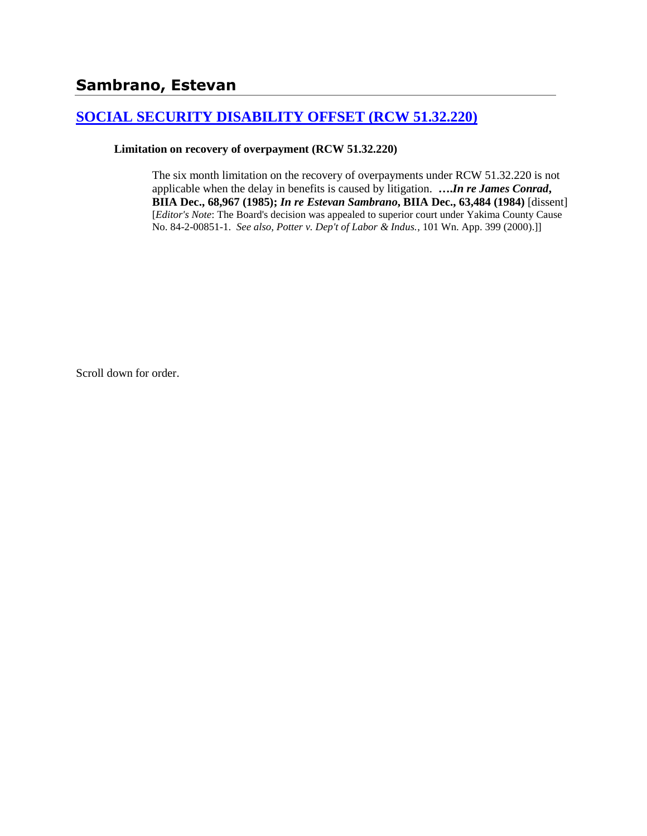# **[SOCIAL SECURITY DISABILITY OFFSET \(RCW 51.32.220\)](http://www.biia.wa.gov/SDSubjectIndex.html#SOCIAL_SECURITY_DISABILITY_OFFSET)**

#### **Limitation on recovery of overpayment (RCW 51.32.220)**

The six month limitation on the recovery of overpayments under RCW 51.32.220 is not applicable when the delay in benefits is caused by litigation. **….***In re James Conrad***, BIIA Dec., 68,967 (1985);** *In re Estevan Sambrano***, BIIA Dec., 63,484 (1984)** [dissent] [*Editor's Note*: The Board's decision was appealed to superior court under Yakima County Cause No. 84-2-00851-1. *See also, Potter v. Dep't of Labor & Indus.*, 101 Wn. App. 399 (2000).]]

Scroll down for order.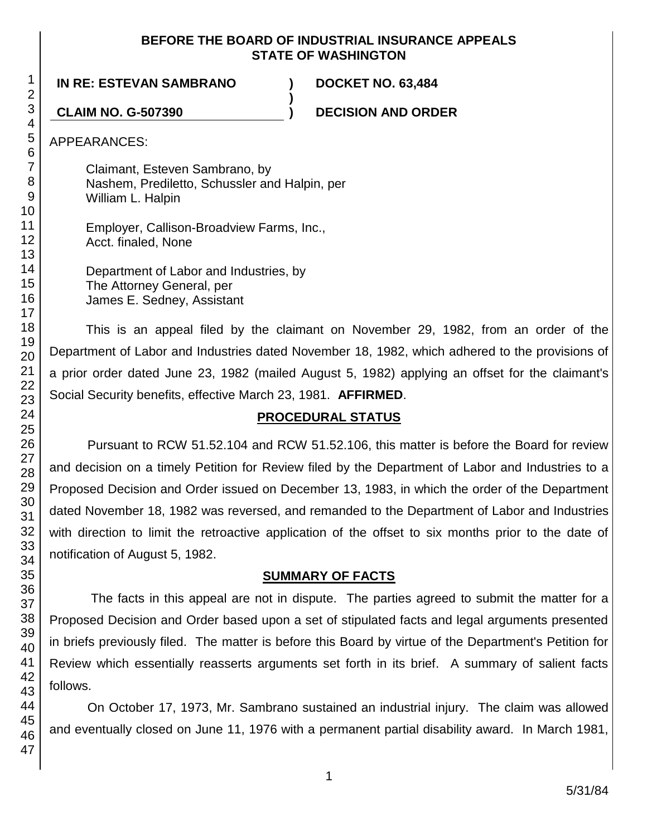#### **BEFORE THE BOARD OF INDUSTRIAL INSURANCE APPEALS STATE OF WASHINGTON**

**)**

**IN RE: ESTEVAN SAMBRANO ) DOCKET NO. 63,484**

**CLAIM NO. G-507390 ) DECISION AND ORDER**

APPEARANCES:

Claimant, Esteven Sambrano, by Nashem, Prediletto, Schussler and Halpin, per William L. Halpin

Employer, Callison-Broadview Farms, Inc., Acct. finaled, None

Department of Labor and Industries, by The Attorney General, per James E. Sedney, Assistant

This is an appeal filed by the claimant on November 29, 1982, from an order of the Department of Labor and Industries dated November 18, 1982, which adhered to the provisions of a prior order dated June 23, 1982 (mailed August 5, 1982) applying an offset for the claimant's Social Security benefits, effective March 23, 1981. **AFFIRMED**.

# **PROCEDURAL STATUS**

Pursuant to RCW 51.52.104 and RCW 51.52.106, this matter is before the Board for review and decision on a timely Petition for Review filed by the Department of Labor and Industries to a Proposed Decision and Order issued on December 13, 1983, in which the order of the Department dated November 18, 1982 was reversed, and remanded to the Department of Labor and Industries with direction to limit the retroactive application of the offset to six months prior to the date of notification of August 5, 1982.

# **SUMMARY OF FACTS**

The facts in this appeal are not in dispute. The parties agreed to submit the matter for a Proposed Decision and Order based upon a set of stipulated facts and legal arguments presented in briefs previously filed. The matter is before this Board by virtue of the Department's Petition for Review which essentially reasserts arguments set forth in its brief. A summary of salient facts follows.

On October 17, 1973, Mr. Sambrano sustained an industrial injury. The claim was allowed and eventually closed on June 11, 1976 with a permanent partial disability award. In March 1981,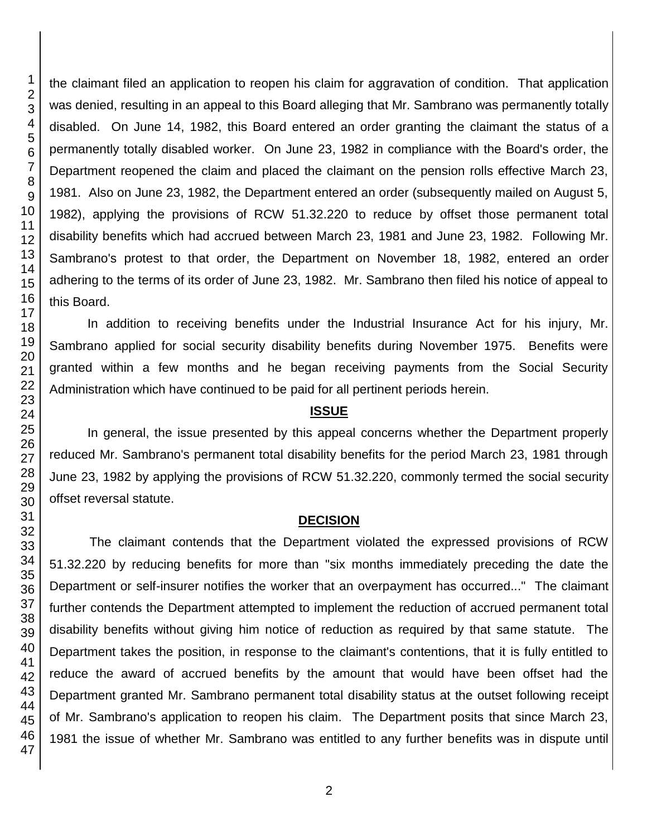the claimant filed an application to reopen his claim for aggravation of condition. That application was denied, resulting in an appeal to this Board alleging that Mr. Sambrano was permanently totally disabled. On June 14, 1982, this Board entered an order granting the claimant the status of a permanently totally disabled worker. On June 23, 1982 in compliance with the Board's order, the Department reopened the claim and placed the claimant on the pension rolls effective March 23, 1981. Also on June 23, 1982, the Department entered an order (subsequently mailed on August 5, 1982), applying the provisions of RCW 51.32.220 to reduce by offset those permanent total disability benefits which had accrued between March 23, 1981 and June 23, 1982. Following Mr. Sambrano's protest to that order, the Department on November 18, 1982, entered an order adhering to the terms of its order of June 23, 1982. Mr. Sambrano then filed his notice of appeal to this Board.

In addition to receiving benefits under the Industrial Insurance Act for his injury, Mr. Sambrano applied for social security disability benefits during November 1975. Benefits were granted within a few months and he began receiving payments from the Social Security Administration which have continued to be paid for all pertinent periods herein.

#### **ISSUE**

In general, the issue presented by this appeal concerns whether the Department properly reduced Mr. Sambrano's permanent total disability benefits for the period March 23, 1981 through June 23, 1982 by applying the provisions of RCW 51.32.220, commonly termed the social security offset reversal statute.

## **DECISION**

The claimant contends that the Department violated the expressed provisions of RCW 51.32.220 by reducing benefits for more than "six months immediately preceding the date the Department or self-insurer notifies the worker that an overpayment has occurred..." The claimant further contends the Department attempted to implement the reduction of accrued permanent total disability benefits without giving him notice of reduction as required by that same statute. The Department takes the position, in response to the claimant's contentions, that it is fully entitled to reduce the award of accrued benefits by the amount that would have been offset had the Department granted Mr. Sambrano permanent total disability status at the outset following receipt of Mr. Sambrano's application to reopen his claim. The Department posits that since March 23, 1981 the issue of whether Mr. Sambrano was entitled to any further benefits was in dispute until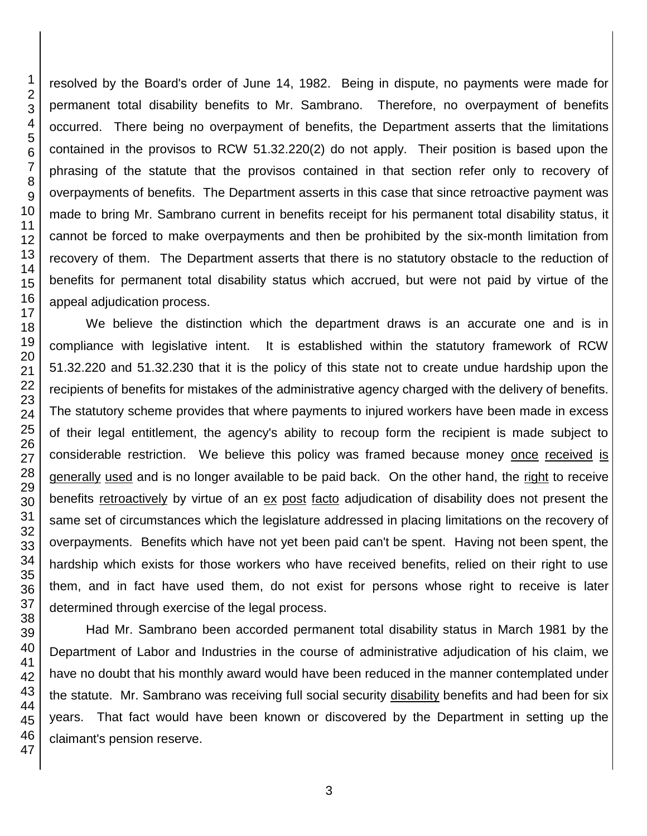resolved by the Board's order of June 14, 1982. Being in dispute, no payments were made for permanent total disability benefits to Mr. Sambrano. Therefore, no overpayment of benefits occurred. There being no overpayment of benefits, the Department asserts that the limitations contained in the provisos to RCW 51.32.220(2) do not apply. Their position is based upon the phrasing of the statute that the provisos contained in that section refer only to recovery of overpayments of benefits. The Department asserts in this case that since retroactive payment was made to bring Mr. Sambrano current in benefits receipt for his permanent total disability status, it cannot be forced to make overpayments and then be prohibited by the six-month limitation from recovery of them. The Department asserts that there is no statutory obstacle to the reduction of benefits for permanent total disability status which accrued, but were not paid by virtue of the appeal adjudication process.

We believe the distinction which the department draws is an accurate one and is in compliance with legislative intent. It is established within the statutory framework of RCW 51.32.220 and 51.32.230 that it is the policy of this state not to create undue hardship upon the recipients of benefits for mistakes of the administrative agency charged with the delivery of benefits. The statutory scheme provides that where payments to injured workers have been made in excess of their legal entitlement, the agency's ability to recoup form the recipient is made subject to considerable restriction. We believe this policy was framed because money once received is generally used and is no longer available to be paid back. On the other hand, the right to receive benefits retroactively by virtue of an ex post facto adjudication of disability does not present the same set of circumstances which the legislature addressed in placing limitations on the recovery of overpayments. Benefits which have not yet been paid can't be spent. Having not been spent, the hardship which exists for those workers who have received benefits, relied on their right to use them, and in fact have used them, do not exist for persons whose right to receive is later determined through exercise of the legal process.

Had Mr. Sambrano been accorded permanent total disability status in March 1981 by the Department of Labor and Industries in the course of administrative adjudication of his claim, we have no doubt that his monthly award would have been reduced in the manner contemplated under the statute. Mr. Sambrano was receiving full social security disability benefits and had been for six years. That fact would have been known or discovered by the Department in setting up the claimant's pension reserve.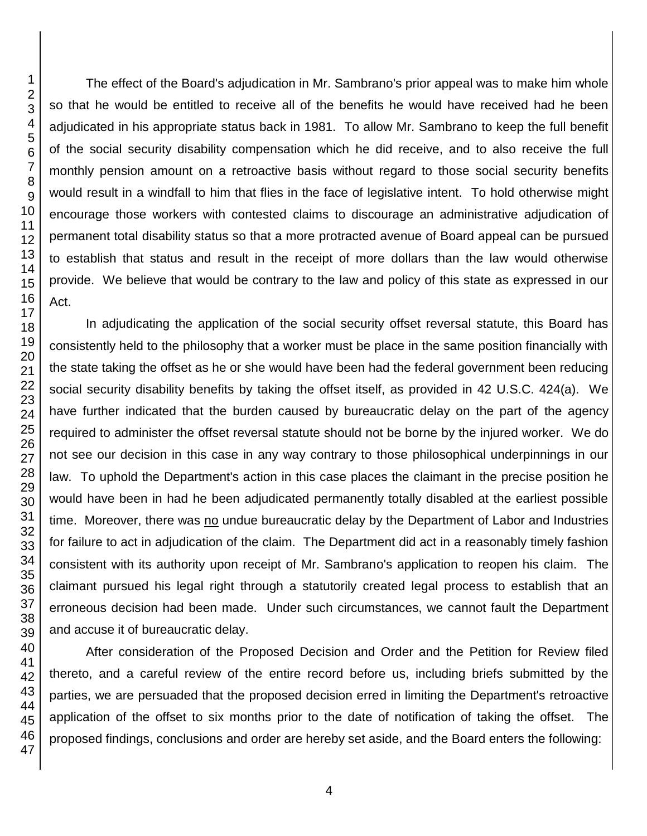The effect of the Board's adjudication in Mr. Sambrano's prior appeal was to make him whole so that he would be entitled to receive all of the benefits he would have received had he been adjudicated in his appropriate status back in 1981. To allow Mr. Sambrano to keep the full benefit of the social security disability compensation which he did receive, and to also receive the full monthly pension amount on a retroactive basis without regard to those social security benefits would result in a windfall to him that flies in the face of legislative intent. To hold otherwise might encourage those workers with contested claims to discourage an administrative adjudication of permanent total disability status so that a more protracted avenue of Board appeal can be pursued to establish that status and result in the receipt of more dollars than the law would otherwise provide. We believe that would be contrary to the law and policy of this state as expressed in our Act.

In adjudicating the application of the social security offset reversal statute, this Board has consistently held to the philosophy that a worker must be place in the same position financially with the state taking the offset as he or she would have been had the federal government been reducing social security disability benefits by taking the offset itself, as provided in 42 U.S.C. 424(a). We have further indicated that the burden caused by bureaucratic delay on the part of the agency required to administer the offset reversal statute should not be borne by the injured worker. We do not see our decision in this case in any way contrary to those philosophical underpinnings in our law. To uphold the Department's action in this case places the claimant in the precise position he would have been in had he been adjudicated permanently totally disabled at the earliest possible time. Moreover, there was no undue bureaucratic delay by the Department of Labor and Industries for failure to act in adjudication of the claim. The Department did act in a reasonably timely fashion consistent with its authority upon receipt of Mr. Sambrano's application to reopen his claim. The claimant pursued his legal right through a statutorily created legal process to establish that an erroneous decision had been made. Under such circumstances, we cannot fault the Department and accuse it of bureaucratic delay.

After consideration of the Proposed Decision and Order and the Petition for Review filed thereto, and a careful review of the entire record before us, including briefs submitted by the parties, we are persuaded that the proposed decision erred in limiting the Department's retroactive application of the offset to six months prior to the date of notification of taking the offset. The proposed findings, conclusions and order are hereby set aside, and the Board enters the following: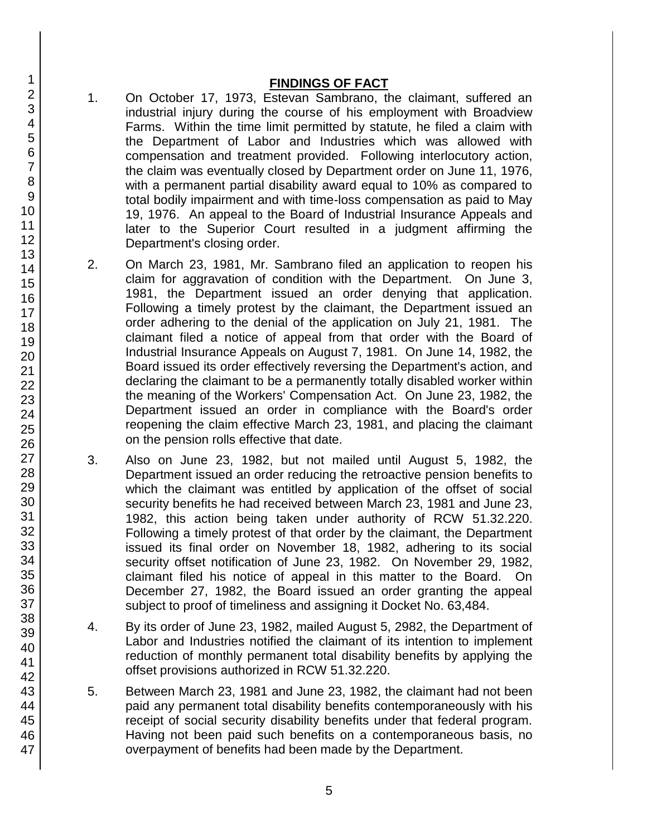#### **FINDINGS OF FACT**

- 1. On October 17, 1973, Estevan Sambrano, the claimant, suffered an industrial injury during the course of his employment with Broadview Farms. Within the time limit permitted by statute, he filed a claim with the Department of Labor and Industries which was allowed with compensation and treatment provided. Following interlocutory action, the claim was eventually closed by Department order on June 11, 1976, with a permanent partial disability award equal to 10% as compared to total bodily impairment and with time-loss compensation as paid to May 19, 1976. An appeal to the Board of Industrial Insurance Appeals and later to the Superior Court resulted in a judgment affirming the Department's closing order.
- 2. On March 23, 1981, Mr. Sambrano filed an application to reopen his claim for aggravation of condition with the Department. On June 3, 1981, the Department issued an order denying that application. Following a timely protest by the claimant, the Department issued an order adhering to the denial of the application on July 21, 1981. The claimant filed a notice of appeal from that order with the Board of Industrial Insurance Appeals on August 7, 1981. On June 14, 1982, the Board issued its order effectively reversing the Department's action, and declaring the claimant to be a permanently totally disabled worker within the meaning of the Workers' Compensation Act. On June 23, 1982, the Department issued an order in compliance with the Board's order reopening the claim effective March 23, 1981, and placing the claimant on the pension rolls effective that date.
- 3. Also on June 23, 1982, but not mailed until August 5, 1982, the Department issued an order reducing the retroactive pension benefits to which the claimant was entitled by application of the offset of social security benefits he had received between March 23, 1981 and June 23, 1982, this action being taken under authority of RCW 51.32.220. Following a timely protest of that order by the claimant, the Department issued its final order on November 18, 1982, adhering to its social security offset notification of June 23, 1982. On November 29, 1982, claimant filed his notice of appeal in this matter to the Board. On December 27, 1982, the Board issued an order granting the appeal subject to proof of timeliness and assigning it Docket No. 63,484.
- 4. By its order of June 23, 1982, mailed August 5, 2982, the Department of Labor and Industries notified the claimant of its intention to implement reduction of monthly permanent total disability benefits by applying the offset provisions authorized in RCW 51.32.220.
- 5. Between March 23, 1981 and June 23, 1982, the claimant had not been paid any permanent total disability benefits contemporaneously with his receipt of social security disability benefits under that federal program. Having not been paid such benefits on a contemporaneous basis, no overpayment of benefits had been made by the Department.